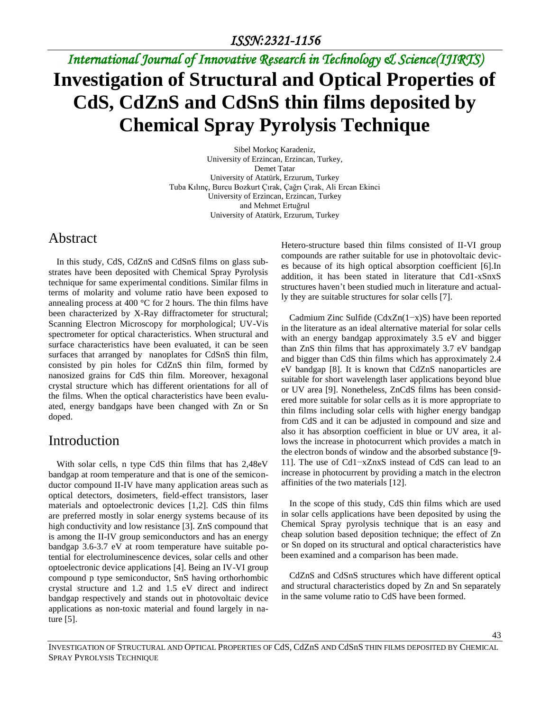# *International Journal of Innovative Research in Technology & Science(IJIRTS)* **Investigation of Structural and Optical Properties of CdS, CdZnS and CdSnS thin films deposited by Chemical Spray Pyrolysis Technique**

Sibel Morkoç Karadeniz, University of Erzincan, Erzincan, Turkey, Demet Tatar University of Atatürk, Erzurum, Turkey Tuba Kılınç, Burcu Bozkurt Çırak, Çağrı Çırak, Ali Ercan Ekinci University of Erzincan, Erzincan, Turkey and Mehmet Ertuğrul University of Atatürk, Erzurum, Turkey

## Abstract

In this study, CdS, CdZnS and CdSnS films on glass substrates have been deposited with Chemical Spray Pyrolysis technique for same experimental conditions. Similar films in terms of molarity and volume ratio have been exposed to annealing process at 400 °C for 2 hours. The thin films have been characterized by X-Ray diffractometer for structural; Scanning Electron Microscopy for morphological; UV-Vis spectrometer for optical characteristics. When structural and surface characteristics have been evaluated, it can be seen surfaces that arranged by nanoplates for CdSnS thin film, consisted by pin holes for CdZnS thin film, formed by nanosized grains for CdS thin film. Moreover, hexagonal crystal structure which has different orientations for all of the films. When the optical characteristics have been evaluated, energy bandgaps have been changed with Zn or Sn doped.

## Introduction

With solar cells, n type CdS thin films that has 2,48eV bandgap at room temperature and that is one of the semiconductor compound II-IV have many application areas such as optical detectors, dosimeters, field-effect transistors, laser materials and optoelectronic devices [1,2]. CdS thin films are preferred mostly in solar energy systems because of its high conductivity and low resistance [3]. ZnS compound that is among the II-IV group semiconductors and has an energy bandgap 3.6-3.7 eV at room temperature have suitable potential for electroluminescence devices, solar cells and other optoelectronic device applications [4]. Being an IV-VI group compound p type semiconductor, SnS having orthorhombic crystal structure and 1.2 and 1.5 eV direct and indirect bandgap respectively and stands out in photovoltaic device applications as non-toxic material and found largely in nature [5].

Hetero-structure based thin films consisted of II-VI group compounds are rather suitable for use in photovoltaic devices because of its high optical absorption coefficient [6].In addition, it has been stated in literature that Cd1-xSnxS structures haven't been studied much in literature and actually they are suitable structures for solar cells [7].

Cadmium Zinc Sulfide (CdxZn(1−x)S) have been reported in the literature as an ideal alternative material for solar cells with an energy bandgap approximately 3.5 eV and bigger than ZnS thin films that has approximately 3.7 eV bandgap and bigger than CdS thin films which has approximately 2.4 eV bandgap [8]. It is known that CdZnS nanoparticles are suitable for short wavelength laser applications beyond blue or UV area [9]. Nonetheless, ZnCdS films has been considered more suitable for solar cells as it is more appropriate to thin films including solar cells with higher energy bandgap from CdS and it can be adjusted in compound and size and also it has absorption coefficient in blue or UV area, it allows the increase in photocurrent which provides a match in the electron bonds of window and the absorbed substance [9- 11]. The use of Cd1−xZnxS instead of CdS can lead to an increase in photocurrent by providing a match in the electron affinities of the two materials [12].

In the scope of this study, CdS thin films which are used in solar cells applications have been deposited by using the Chemical Spray pyrolysis technique that is an easy and cheap solution based deposition technique; the effect of Zn or Sn doped on its structural and optical characteristics have been examined and a comparison has been made.

CdZnS and CdSnS structures which have different optical and structural characteristics doped by Zn and Sn separately in the same volume ratio to CdS have been formed.

INVESTIGATION OF STRUCTURAL AND OPTICAL PROPERTIES OF CdS, CdZnS AND CdSnS THIN FILMS DEPOSITED BY CHEMICAL SPRAY PYROLYSIS TECHNIQUE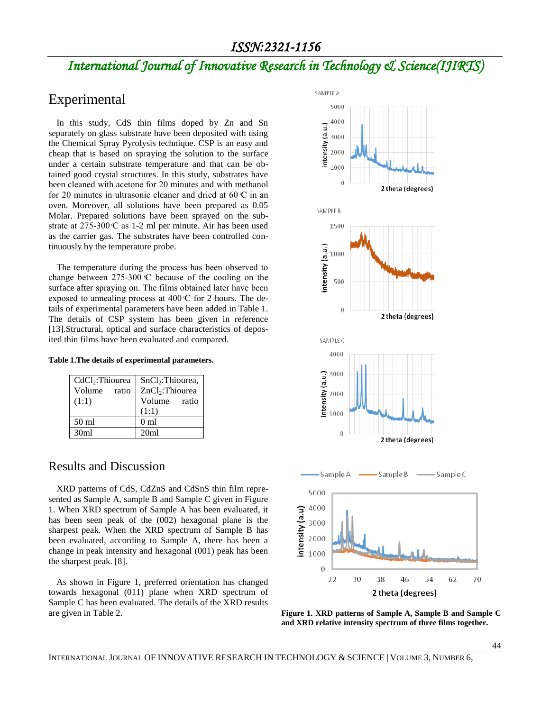## *ISSN:2321-1156*

## *International Journal of Innovative Research in Technology & Science(IJIRTS)*

## Experimental

In this study, CdS thin films doped by Zn and Sn separately on glass substrate have been deposited with using the Chemical Spray Pyrolysis technique. CSP is an easy and cheap that is based on spraying the solution to the surface under a certain substrate temperature and that can be obtained good crystal structures. In this study, substrates have been cleaned with acetone for 20 minutes and with methanol for 20 minutes in ultrasonic cleaner and dried at  $60 \text{ C}$  in an oven. Moreover, all solutions have been prepared as 0.05 Molar. Prepared solutions have been sprayed on the sub strate at  $275-300 \text{ C}$  as 1-2 ml per minute. Air has been used as the carrier gas. The substrates have been controlled continuously by the temperature probe.

The temperature during the process has been observed to change between  $275-300$  C because of the cooling on the surface after spraying on. The films obtained later have been exposed to annealing process at  $400 \text{ C}$  for 2 hours. The details of experimental parameters have been added in Table 1. The details of CSP system has been given in reference [13]. Structural, optical and surface characteristics of deposited thin films have been evaluated and compared.

#### **Table 1.The details of experimental parameters.**

| CdCl <sub>2</sub> :Thiourea | SnCl <sub>2</sub> :Thiourea, |  |  |  |
|-----------------------------|------------------------------|--|--|--|
| Volume ratio                | ZnCl <sub>2</sub> :Thiourea  |  |  |  |
| (1:1)                       | Volume ratio                 |  |  |  |
|                             | (1:1)                        |  |  |  |
| 50 <sub>ml</sub>            | 0 <sub>m1</sub>              |  |  |  |
| 30 <sub>ml</sub>            | 20ml                         |  |  |  |

#### Results and Discussion

XRD patterns of CdS, CdZnS and CdSnS thin film represented as Sample A, sample B and Sample C given in Figure 1. When XRD spectrum of Sample A has been evaluated, it has been seen peak of the (002) hexagonal plane is the sharpest peak. When the XRD spectrum of Sample B has been evaluated, according to Sample A, there has been a change in peak intensity and hexagonal (001) peak has been the sharpest peak. [8].

As shown in Figure 1, preferred orientation has changed towards hexagonal (011) plane when XRD spectrum of Sample C has been evaluated. The details of the XRD results are given in Table 2. **Figure 1. XRD patterns of Sample A, Sample B and Sample C** 



**and XRD relative intensity spectrum of three films together.**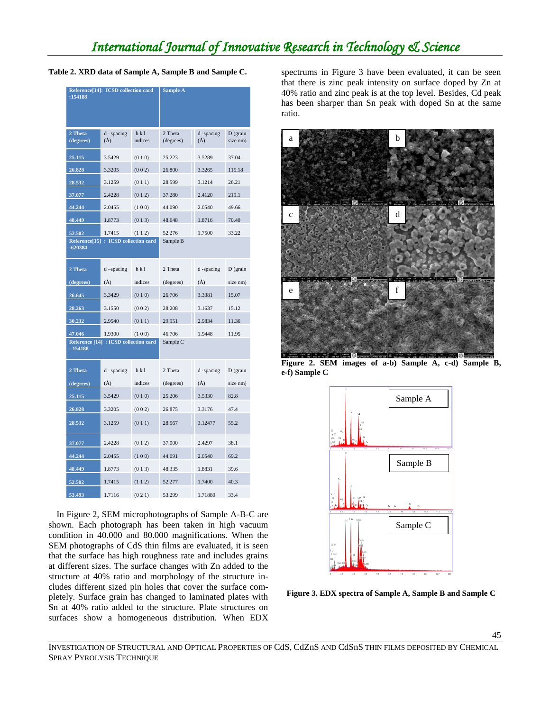#### **Table 2. XRD data of Sample A, Sample B and Sample C.**

| Reference[14]: ICSD collection card<br>:154188    |                            | <b>Sample A</b>  |                      |                       |                        |
|---------------------------------------------------|----------------------------|------------------|----------------------|-----------------------|------------------------|
|                                                   |                            |                  |                      |                       |                        |
| 2 Theta<br>(degrees)                              | $d$ -spacing<br>$\rm(\AA)$ | h k l<br>indices | 2 Theta<br>(degrees) | d -spacing<br>$(\AA)$ | $D$ (grain<br>size nm) |
| 25.115                                            | 3.5429                     | (010)            | 25.223               | 3.5289                | 37.04                  |
| 26.828                                            | 3.3205                     | (002)            | 26.800               | 3.3265                | 115.18                 |
| 28.532                                            | 3.1259                     | (011)            | 28.599               | 3.1214                | 26.21                  |
| 37.077                                            | 2.4228                     | (012)            | 37.280               | 2.4120                | 219.1                  |
| 44.244                                            | 2.0455                     | (100)            | 44.090               | 2.0540                | 49.66                  |
| 48.449                                            | 1.8773                     | (013)            | 48.648               | 1.8716                | 70.40                  |
| 52.502                                            | 1.7415                     | (112)            | 52.276               | 1.7500                | 33.22                  |
| Reference[15]: ICSD collection card<br>:620384    |                            | Sample B         |                      |                       |                        |
| 2 Theta                                           | $d$ -spacing               | h k l            | 2 Theta              | d-spacing             | $D$ (grain             |
| (degrees)                                         | $(\AA)$                    | indices          | (degrees)            | $(\AA)$               | size nm)               |
| 26.645                                            | 3.3429                     | (010)            | 26.706               | 3.3381                | 15.07                  |
| 28.263                                            | 3.1550                     | (002)            | 28.208               | 3.1637                | 15.12                  |
| 30.232                                            | 2.9540                     | (011)            | 29.951               | 2.9834                | 11.36                  |
| 47.046                                            | 1.9300                     | (100)            | 46.706               | 1.9448                | 11.95                  |
| Reference [14] : ICSD collection card<br>: 154188 |                            |                  | Sample C             |                       |                        |
| 2 Theta                                           | $d$ -spacing               | hkl              | 2 Theta              | d-spacing             | $D$ (grain             |
| (degrees)                                         | $(\AA)$                    | indices          | (degrees)            | $(\AA)$               | size nm)               |
| 25.115                                            | 3.5429                     | (010)            | 25.206               | 3.5330                | 82.8                   |
| 26.828                                            | 3.3205                     | (002)            | 26.875               | 3.3176                | 47.4                   |
| 28.532                                            | 3.1259                     | (011)            | 28.567               | 3.12477               | 55.2                   |
| 37.077                                            | 2.4228                     | (012)            | 37.000               | 2.4297                | 38.1                   |
| 44.244                                            | 2.0455                     | (100)            | 44.091               | 2.0540                | 69.2                   |
| 48.449                                            | 1.8773                     | (013)            | 48.335               | 1.8831                | 39.6                   |
| 52.502                                            | 1.7415                     | (112)            | 52.277               | 1.7400                | 40.3                   |
| 53.493                                            | 1.7116                     | (021)            | 53.299               | 1.71880               | 33.4                   |

In Figure 2, SEM microphotographs of Sample A-B-C are shown. Each photograph has been taken in high vacuum condition in 40.000 and 80.000 magnifications. When the SEM photographs of CdS thin films are evaluated, it is seen that the surface has high roughness rate and includes grains at different sizes. The surface changes with Zn added to the structure at 40% ratio and morphology of the structure includes different sized pin holes that cover the surface completely. Surface grain has changed to laminated plates with Sn at 40% ratio added to the structure. Plate structures on surfaces show a homogeneous distribution. When EDX spectrums in Figure 3 have been evaluated, it can be seen that there is zinc peak intensity on surface doped by Zn at 40% ratio and zinc peak is at the top level. Besides, Cd peak has been sharper than Sn peak with doped Sn at the same ratio.



**Figure 2. SEM images of a-b) Sample A, c-d) Sample B, e-f) Sample C**



**Figure 3. EDX spectra of Sample A, Sample B and Sample C**

INVESTIGATION OF STRUCTURAL AND OPTICAL PROPERTIES OF CdS, CdZnS AND CdSnS THIN FILMS DEPOSITED BY CHEMICAL SPRAY PYROLYSIS TECHNIQUE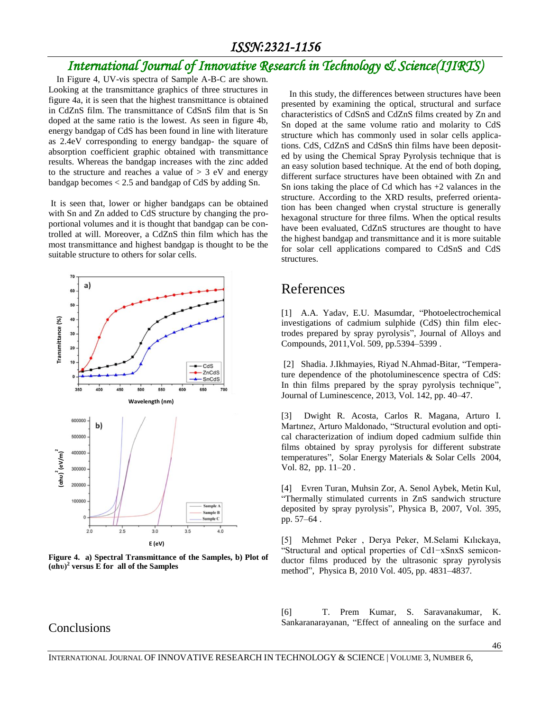## *ISSN:2321-1156*

## *International Journal of Innovative Research in Technology & Science(IJIRTS)*

In Figure 4, UV-vis spectra of Sample A-B-C are shown. Looking at the transmittance graphics of three structures in figure 4a, it is seen that the highest transmittance is obtained in CdZnS film. The transmittance of CdSnS film that is Sn doped at the same ratio is the lowest. As seen in figure 4b, energy bandgap of CdS has been found in line with literature as 2.4eV corresponding to energy bandgap- the square of absorption coefficient graphic obtained with transmittance results. Whereas the bandgap increases with the zinc added to the structure and reaches a value of  $> 3$  eV and energy bandgap becomes < 2.5 and bandgap of CdS by adding Sn.

It is seen that, lower or higher bandgaps can be obtained with Sn and Zn added to CdS structure by changing the proportional volumes and it is thought that bandgap can be controlled at will. Moreover, a CdZnS thin film which has the most transmittance and highest bandgap is thought to be the suitable structure to others for solar cells.



**Figure 4. a) Spectral Transmittance of the Samples, b) Plot of (αhυ)<sup>2</sup> versus E for all of the Samples**

In this study, the differences between structures have been presented by examining the optical, structural and surface characteristics of CdSnS and CdZnS films created by Zn and Sn doped at the same volume ratio and molarity to CdS structure which has commonly used in solar cells applications. CdS, CdZnS and CdSnS thin films have been deposited by using the Chemical Spray Pyrolysis technique that is an easy solution based technique. At the end of both doping, different surface structures have been obtained with Zn and Sn ions taking the place of  $Cd$  which has  $+2$  valances in the structure. According to the XRD results, preferred orientation has been changed when crystal structure is generally hexagonal structure for three films. When the optical results have been evaluated, CdZnS structures are thought to have the highest bandgap and transmittance and it is more suitable for solar cell applications compared to CdSnS and CdS structures.

## References

[1] A.A. Yadav, E.U. Masumdar, "Photoelectrochemical investigations of cadmium sulphide (CdS) thin film electrodes prepared by spray pyrolysis", Journal of Alloys and Compounds, 2011,Vol. 509, pp.5394–5399 .

[2] Shadia. J.Ikhmayies, Riyad N.Ahmad-Bitar, "Temperature dependence of the photoluminescence spectra of CdS: In thin films prepared by the spray pyrolysis technique", Journal of Luminescence, 2013, Vol. 142, pp. 40–47.

[3] Dwight R. Acosta, Carlos R. Magana, Arturo I. Martınez, Arturo Maldonado, "Structural evolution and optical characterization of indium doped cadmium sulfide thin films obtained by spray pyrolysis for different substrate temperatures", Solar Energy Materials & Solar Cells 2004, Vol. 82, pp. 11–20 .

[4] Evren Turan, Muhsin Zor, A. Senol Aybek, Metin Kul, "Thermally stimulated currents in ZnS sandwich structure deposited by spray pyrolysis", Physica B, 2007, Vol. 395, pp. 57–64 .

[5] Mehmet Peker, Derya Peker, M.Selami Kılıckaya, "Structural and optical properties of Cd1-xSnxS semiconductor films produced by the ultrasonic spray pyrolysis method", Physica B, 2010 Vol. 405, pp. 4831–4837.

### Conclusions

[6] T. Prem Kumar, S. Saravanakumar, K. Sankaranarayanan, "Effect of annealing on the surface and